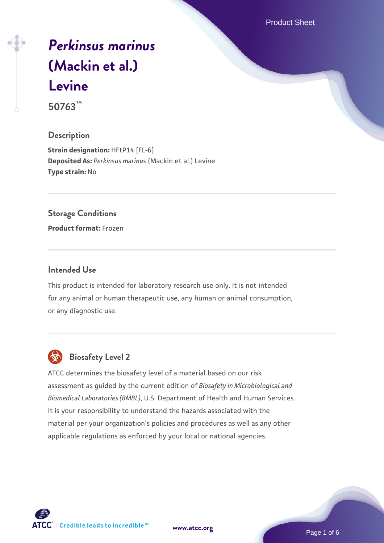Product Sheet

# *[Perkinsus marinus](https://www.atcc.org/products/50763)* **[\(Mackin et al.\)](https://www.atcc.org/products/50763) [Levine](https://www.atcc.org/products/50763)**

**50763™**

# **Description**

**Strain designation: HFtP14 [FL-6] Deposited As:** *Perkinsus marinus* (Mackin et al.) Levine **Type strain:** No

### **Storage Conditions**

**Product format:** Frozen

# **Intended Use**

This product is intended for laboratory research use only. It is not intended for any animal or human therapeutic use, any human or animal consumption, or any diagnostic use.



# **Biosafety Level 2**

ATCC determines the biosafety level of a material based on our risk assessment as guided by the current edition of *Biosafety in Microbiological and Biomedical Laboratories (BMBL)*, U.S. Department of Health and Human Services. It is your responsibility to understand the hazards associated with the material per your organization's policies and procedures as well as any other applicable regulations as enforced by your local or national agencies.

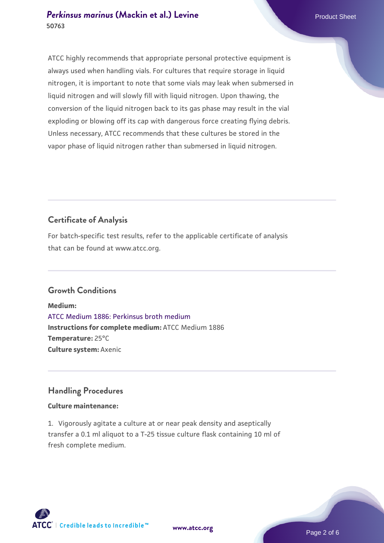# **[Perkinsus marinus](https://www.atcc.org/products/50763) [\(Mackin et al.\) Levine](https://www.atcc.org/products/50763)** Product Sheet **50763**

ATCC highly recommends that appropriate personal protective equipment is always used when handling vials. For cultures that require storage in liquid nitrogen, it is important to note that some vials may leak when submersed in liquid nitrogen and will slowly fill with liquid nitrogen. Upon thawing, the conversion of the liquid nitrogen back to its gas phase may result in the vial exploding or blowing off its cap with dangerous force creating flying debris. Unless necessary, ATCC recommends that these cultures be stored in the vapor phase of liquid nitrogen rather than submersed in liquid nitrogen.

# **Certificate of Analysis**

For batch-specific test results, refer to the applicable certificate of analysis that can be found at www.atcc.org.

# **Growth Conditions**

**Medium:**  [ATCC Medium 1886: Perkinsus broth medium](https://www.atcc.org/-/media/product-assets/documents/microbial-media-formulations/atcc-medium-1886.pdf?rev=3f191fd8ade443aca9e8e4826432baa3) **Instructions for complete medium:** ATCC Medium 1886 **Temperature:** 25°C **Culture system:** Axenic

# **Handling Procedures**

# **Culture maintenance:**

1. Vigorously agitate a culture at or near peak density and aseptically transfer a 0.1 ml aliquot to a T-25 tissue culture flask containing 10 ml of fresh complete medium.



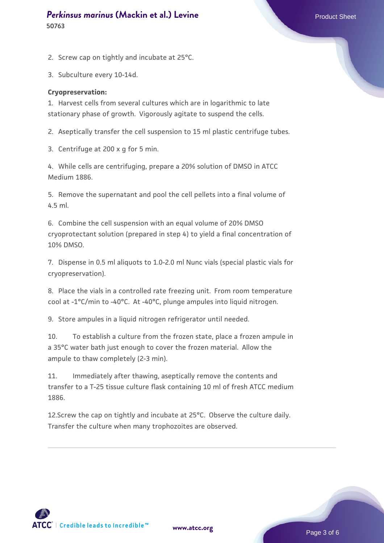#### **[Perkinsus marinus](https://www.atcc.org/products/50763) [\(Mackin et al.\) Levine](https://www.atcc.org/products/50763)** Product Sheet **50763**

2. Screw cap on tightly and incubate at 25°C.

3. Subculture every 10-14d.

#### **Cryopreservation:**

1. Harvest cells from several cultures which are in logarithmic to late stationary phase of growth. Vigorously agitate to suspend the cells.

2. Aseptically transfer the cell suspension to 15 ml plastic centrifuge tubes.

3. Centrifuge at 200 x g for 5 min.

4. While cells are centrifuging, prepare a 20% solution of DMSO in ATCC Medium 1886.

5. Remove the supernatant and pool the cell pellets into a final volume of 4.5 ml.

6. Combine the cell suspension with an equal volume of 20% DMSO cryoprotectant solution (prepared in step 4) to yield a final concentration of 10% DMSO.

7. Dispense in 0.5 ml aliquots to 1.0-2.0 ml Nunc vials (special plastic vials for cryopreservation).

8. Place the vials in a controlled rate freezing unit. From room temperature cool at -1°C/min to -40°C. At -40°C, plunge ampules into liquid nitrogen.

9. Store ampules in a liquid nitrogen refrigerator until needed.

10. To establish a culture from the frozen state, place a frozen ampule in a 35°C water bath just enough to cover the frozen material. Allow the ampule to thaw completely (2-3 min).

11. Immediately after thawing, aseptically remove the contents and transfer to a T-25 tissue culture flask containing 10 ml of fresh ATCC medium 1886.

12.Screw the cap on tightly and incubate at 25°C. Observe the culture daily. Transfer the culture when many trophozoites are observed.

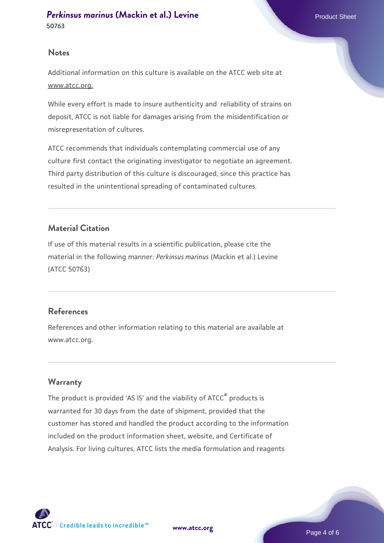#### **Notes**

Additional information on this culture is available on the ATCC web site at www.atcc.org.

While every effort is made to insure authenticity and reliability of strains on deposit, ATCC is not liable for damages arising from the misidentification or misrepresentation of cultures.

ATCC recommends that individuals contemplating commercial use of any culture first contact the originating investigator to negotiate an agreement. Third party distribution of this culture is discouraged, since this practice has resulted in the unintentional spreading of contaminated cultures.

# **Material Citation**

If use of this material results in a scientific publication, please cite the material in the following manner: *Perkinsus marinus* (Mackin et al.) Levine (ATCC 50763)

# **References**

References and other information relating to this material are available at www.atcc.org.

# **Warranty**

The product is provided 'AS IS' and the viability of ATCC® products is warranted for 30 days from the date of shipment, provided that the customer has stored and handled the product according to the information included on the product information sheet, website, and Certificate of Analysis. For living cultures, ATCC lists the media formulation and reagents

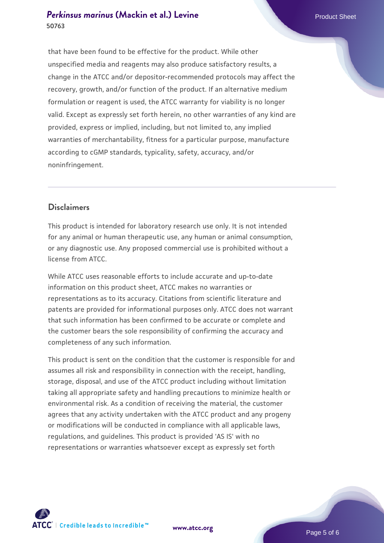# **[Perkinsus marinus](https://www.atcc.org/products/50763) [\(Mackin et al.\) Levine](https://www.atcc.org/products/50763)** Product Sheet **50763**

that have been found to be effective for the product. While other unspecified media and reagents may also produce satisfactory results, a change in the ATCC and/or depositor-recommended protocols may affect the recovery, growth, and/or function of the product. If an alternative medium formulation or reagent is used, the ATCC warranty for viability is no longer valid. Except as expressly set forth herein, no other warranties of any kind are provided, express or implied, including, but not limited to, any implied warranties of merchantability, fitness for a particular purpose, manufacture according to cGMP standards, typicality, safety, accuracy, and/or noninfringement.

# **Disclaimers**

This product is intended for laboratory research use only. It is not intended for any animal or human therapeutic use, any human or animal consumption, or any diagnostic use. Any proposed commercial use is prohibited without a license from ATCC.

While ATCC uses reasonable efforts to include accurate and up-to-date information on this product sheet, ATCC makes no warranties or representations as to its accuracy. Citations from scientific literature and patents are provided for informational purposes only. ATCC does not warrant that such information has been confirmed to be accurate or complete and the customer bears the sole responsibility of confirming the accuracy and completeness of any such information.

This product is sent on the condition that the customer is responsible for and assumes all risk and responsibility in connection with the receipt, handling, storage, disposal, and use of the ATCC product including without limitation taking all appropriate safety and handling precautions to minimize health or environmental risk. As a condition of receiving the material, the customer agrees that any activity undertaken with the ATCC product and any progeny or modifications will be conducted in compliance with all applicable laws, regulations, and guidelines. This product is provided 'AS IS' with no representations or warranties whatsoever except as expressly set forth



**[www.atcc.org](http://www.atcc.org)**

Page 5 of 6